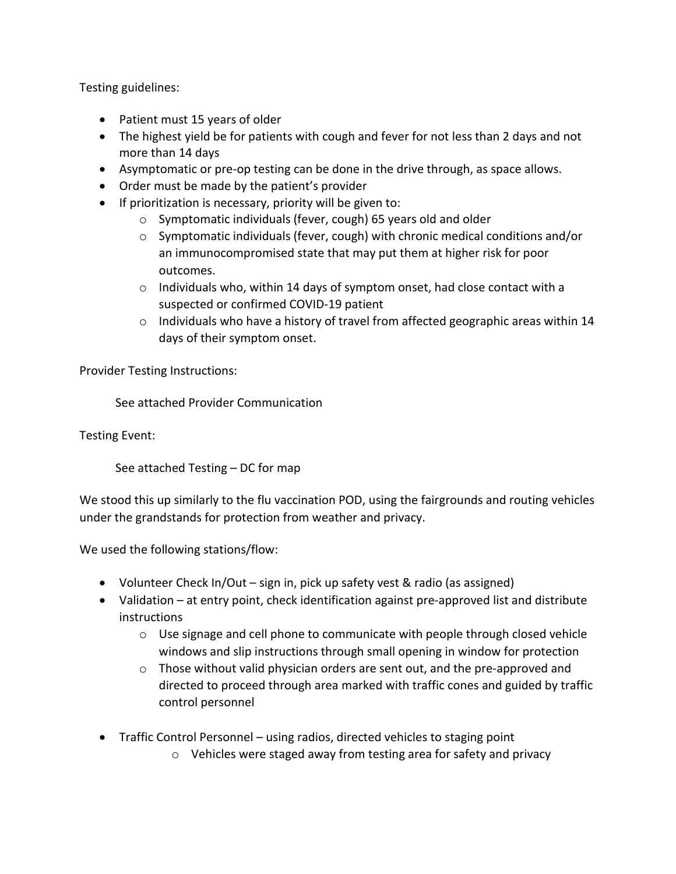Testing guidelines:

- Patient must 15 years of older
- The highest yield be for patients with cough and fever for not less than 2 days and not more than 14 days
- Asymptomatic or pre-op testing can be done in the drive through, as space allows.
- Order must be made by the patient's provider
- If prioritization is necessary, priority will be given to:
	- o Symptomatic individuals (fever, cough) 65 years old and older
	- o Symptomatic individuals (fever, cough) with chronic medical conditions and/or an immunocompromised state that may put them at higher risk for poor outcomes.
	- o Individuals who, within 14 days of symptom onset, had close contact with a suspected or confirmed COVID-19 patient
	- o Individuals who have a history of travel from affected geographic areas within 14 days of their symptom onset.

Provider Testing Instructions:

See attached Provider Communication

Testing Event:

See attached Testing – DC for map

We stood this up similarly to the flu vaccination POD, using the fairgrounds and routing vehicles under the grandstands for protection from weather and privacy.

We used the following stations/flow:

- Volunteer Check In/Out sign in, pick up safety vest & radio (as assigned)
- Validation at entry point, check identification against pre-approved list and distribute instructions
	- $\circ$  Use signage and cell phone to communicate with people through closed vehicle windows and slip instructions through small opening in window for protection
	- $\circ$  Those without valid physician orders are sent out, and the pre-approved and directed to proceed through area marked with traffic cones and guided by traffic control personnel
- Traffic Control Personnel using radios, directed vehicles to staging point
	- o Vehicles were staged away from testing area for safety and privacy